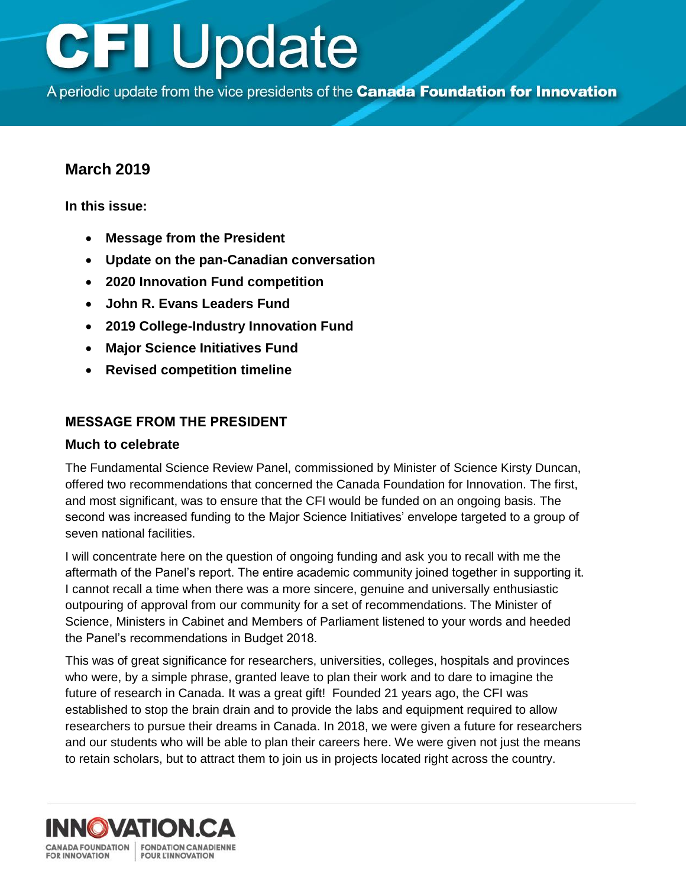A periodic update from the vice presidents of the Canada Foundation for Innovation

### **March 2019**

**In this issue:** 

- **Message from the President**
- **[Update on the pan-Canadian conversation](#page-1-0)**
- **[2020 Innovation Fund competition](#page-2-0)**
- **[John R. Evans Leaders Fund](#page-2-0)**
- **[2019 College-Industry Innovation Fund](#page-3-0)**
- **[Major Science Initiatives Fund](#page-4-0)**
- **[Revised competition timeline](#page-5-0)**

### **MESSAGE FROM THE PRESIDENT**

#### **Much to celebrate**

The Fundamental Science Review Panel, commissioned by Minister of Science Kirsty Duncan, offered two recommendations that concerned the Canada Foundation for Innovation. The first, and most significant, was to ensure that the CFI would be funded on an ongoing basis. The second was increased funding to the Major Science Initiatives' envelope targeted to a group of seven national facilities.

I will concentrate here on the question of ongoing funding and ask you to recall with me the aftermath of the Panel's report. The entire academic community joined together in supporting it. I cannot recall a time when there was a more sincere, genuine and universally enthusiastic outpouring of approval from our community for a set of recommendations. The Minister of Science, Ministers in Cabinet and Members of Parliament listened to your words and heeded the Panel's recommendations in Budget 2018.

This was of great significance for researchers, universities, colleges, hospitals and provinces who were, by a simple phrase, granted leave to plan their work and to dare to imagine the future of research in Canada. It was a great gift! Founded 21 years ago, the CFI was established to stop the brain drain and to provide the labs and equipment required to allow researchers to pursue their dreams in Canada. In 2018, we were given a future for researchers and our students who will be able to plan their careers here. We were given not just the means to retain scholars, but to attract them to join us in projects located right across the country.

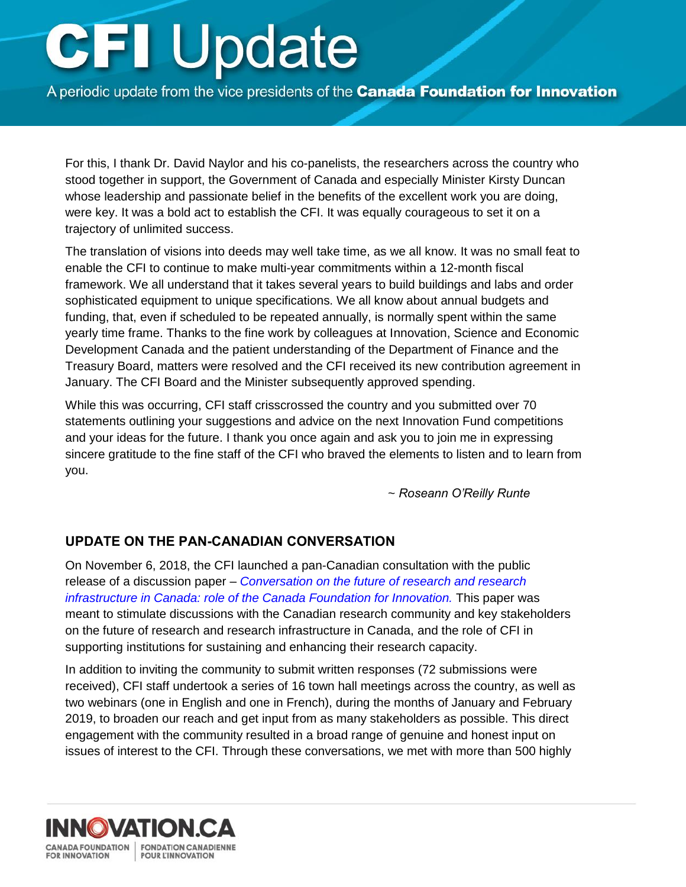<span id="page-1-0"></span>A periodic update from the vice presidents of the Canada Foundation for Innovation

For this, I thank Dr. David Naylor and his co-panelists, the researchers across the country who stood together in support, the Government of Canada and especially Minister Kirsty Duncan whose leadership and passionate belief in the benefits of the excellent work you are doing, were key. It was a bold act to establish the CFI. It was equally courageous to set it on a trajectory of unlimited success.

The translation of visions into deeds may well take time, as we all know. It was no small feat to enable the CFI to continue to make multi-year commitments within a 12-month fiscal framework. We all understand that it takes several years to build buildings and labs and order sophisticated equipment to unique specifications. We all know about annual budgets and funding, that, even if scheduled to be repeated annually, is normally spent within the same yearly time frame. Thanks to the fine work by colleagues at Innovation, Science and Economic Development Canada and the patient understanding of the Department of Finance and the Treasury Board, matters were resolved and the CFI received its new contribution agreement in January. The CFI Board and the Minister subsequently approved spending.

While this was occurring, CFI staff crisscrossed the country and you submitted over 70 statements outlining your suggestions and advice on the next Innovation Fund competitions and your ideas for the future. I thank you once again and ask you to join me in expressing sincere gratitude to the fine staff of the CFI who braved the elements to listen and to learn from you.

~ *Roseann O'Reilly Runte* 

#### **UPDATE ON THE PAN-CANADIAN CONVERSATION**

On November 6, 2018, the CFI launched a pan-Canadian consultation with the public release of a discussion paper – *Conversation on the future of research and research [infrastructure in Canada: role of the Canada Foundation for Innovation.](https://www.innovation.ca/sites/default/files/file_uploads/discussionpaper_eng_finalb.pdf)* This paper was meant to stimulate discussions with the Canadian research community and key stakeholders on the future of research and research infrastructure in Canada, and the role of CFI in supporting institutions for sustaining and enhancing their research capacity.

In addition to inviting the community to submit written responses (72 submissions were received), CFI staff undertook a series of 16 town hall meetings across the country, as well as two webinars (one in English and one in French), during the months of January and February 2019, to broaden our reach and get input from as many stakeholders as possible. This direct engagement with the community resulted in a broad range of genuine and honest input on issues of interest to the CFI. Through these conversations, we met with more than 500 highly

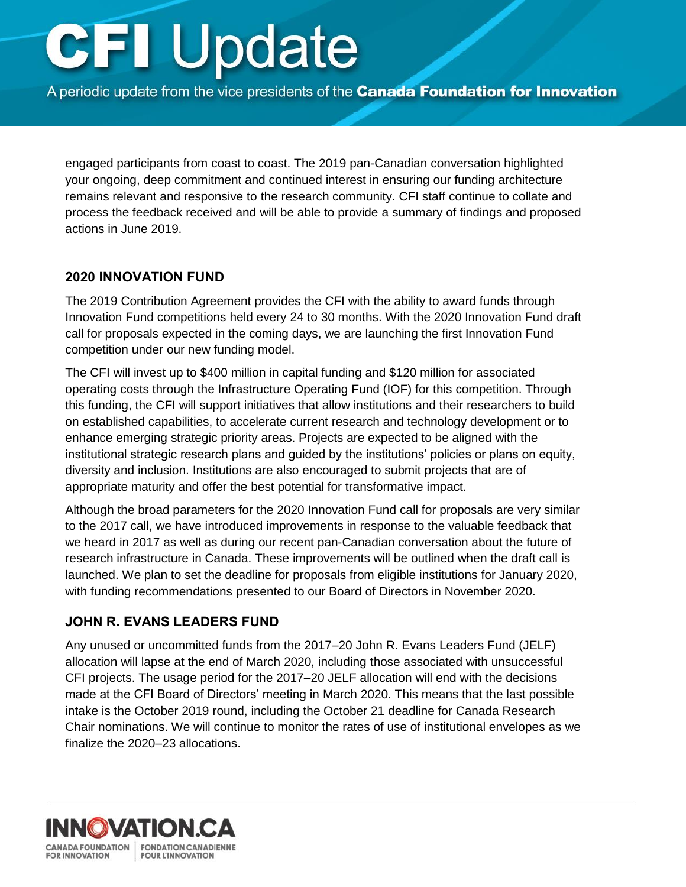<span id="page-2-0"></span>A periodic update from the vice presidents of the Canada Foundation for Innovation

engaged participants from coast to coast. The 2019 pan-Canadian conversation highlighted your ongoing, deep commitment and continued interest in ensuring our funding architecture remains relevant and responsive to the research community. CFI staff continue to collate and process the feedback received and will be able to provide a summary of findings and proposed actions in June 2019.

### **2020 INNOVATION FUND**

The 2019 Contribution Agreement provides the CFI with the ability to award funds through Innovation Fund competitions held every 24 to 30 months. With the 2020 Innovation Fund draft call for proposals expected in the coming days, we are launching the first Innovation Fund competition under our new funding model.

The CFI will invest up to \$400 million in capital funding and \$120 million for associated operating costs through the Infrastructure Operating Fund (IOF) for this competition. Through this funding, the CFI will support initiatives that allow institutions and their researchers to build on established capabilities, to accelerate current research and technology development or to enhance emerging strategic priority areas. Projects are expected to be aligned with the institutional strategic research plans and guided by the institutions' policies or plans on equity, diversity and inclusion. Institutions are also encouraged to submit projects that are of appropriate maturity and offer the best potential for transformative impact.

Although the broad parameters for the 2020 Innovation Fund call for proposals are very similar to the 2017 call, we have introduced improvements in response to the valuable feedback that we heard in 2017 as well as during our recent pan-Canadian conversation about the future of research infrastructure in Canada. These improvements will be outlined when the draft call is launched. We plan to set the deadline for proposals from eligible institutions for January 2020, with funding recommendations presented to our Board of Directors in November 2020.

#### **JOHN R. EVANS LEADERS FUND**

Any unused or uncommitted funds from the 2017–20 John R. Evans Leaders Fund (JELF) allocation will lapse at the end of March 2020, including those associated with unsuccessful CFI projects. The usage period for the 2017–20 JELF allocation will end with the decisions made at the CFI Board of Directors' meeting in March 2020. This means that the last possible intake is the October 2019 round, including the October 21 deadline for Canada Research Chair nominations. We will continue to monitor the rates of use of institutional envelopes as we finalize the 2020–23 allocations.

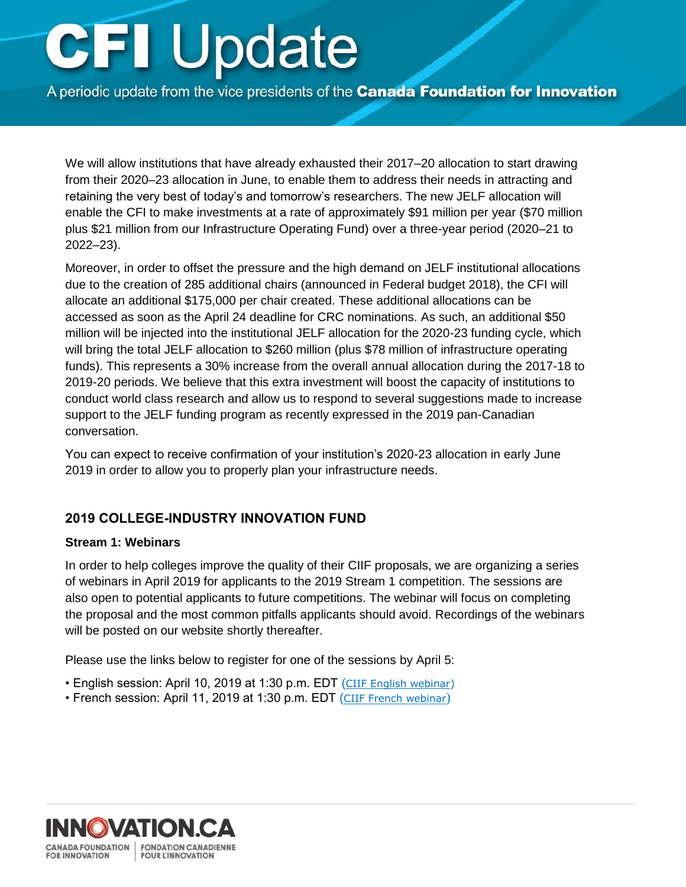<span id="page-3-0"></span>A periodic update from the vice presidents of the Canada Foundation for Innovation

We will allow institutions that have already exhausted their 2017–20 allocation to start drawing from their 2020–23 allocation in June, to enable them to address their needs in attracting and retaining the very best of today's and tomorrow's researchers. The new JELF allocation will enable the CFI to make investments at a rate of approximately \$91 million per year (\$70 million plus \$21 million from our Infrastructure Operating Fund) over a three-year period (2020–21 to 2022–23).

Moreover, in order to offset the pressure and the high demand on JELF institutional allocations due to the creation of 285 additional chairs (announced in Federal budget 2018), the CFI will allocate an additional \$175,000 per chair created. These additional allocations can be accessed as soon as the April 24 deadline for CRC nominations. As such, an additional \$50 million will be injected into the institutional JELF allocation for the 2020-23 funding cycle, which will bring the total JELF allocation to \$260 million (plus \$78 million of infrastructure operating funds). This represents a 30% increase from the overall annual allocation during the 2017-18 to 2019-20 periods. We believe that this extra investment will boost the capacity of institutions to conduct world class research and allow us to respond to several suggestions made to increase support to the JELF funding program as recently expressed in the 2019 pan-Canadian conversation.

You can expect to receive confirmation of your institution's 2020-23 allocation in early June 2019 in order to allow you to properly plan your infrastructure needs.

### **2019 COLLEGE-INDUSTRY INNOVATION FUND**

#### **Stream 1: Webinars**

In order to help colleges improve the quality of their CIIF proposals, we are organizing a series of webinars in April 2019 for applicants to the 2019 Stream 1 competition. The sessions are also open to potential applicants to future competitions. The webinar will focus on completing the proposal and the most common pitfalls applicants should avoid. Recordings of the webinars will be posted on our website shortly thereafter.

Please use the links below to register for one of the sessions by April 5:

- English session: April 10, 2019 at 1:30 p.m. EDT ([CIIF English webinar\)](http://cfi.adobeconnect.com/ciif/event/event_info.html)
- French session: April 11, 2019 at 1:30 p.m. EDT ([CIIF French webinar](http://cfi.adobeconnect.com/fiic/event/event_info.html))

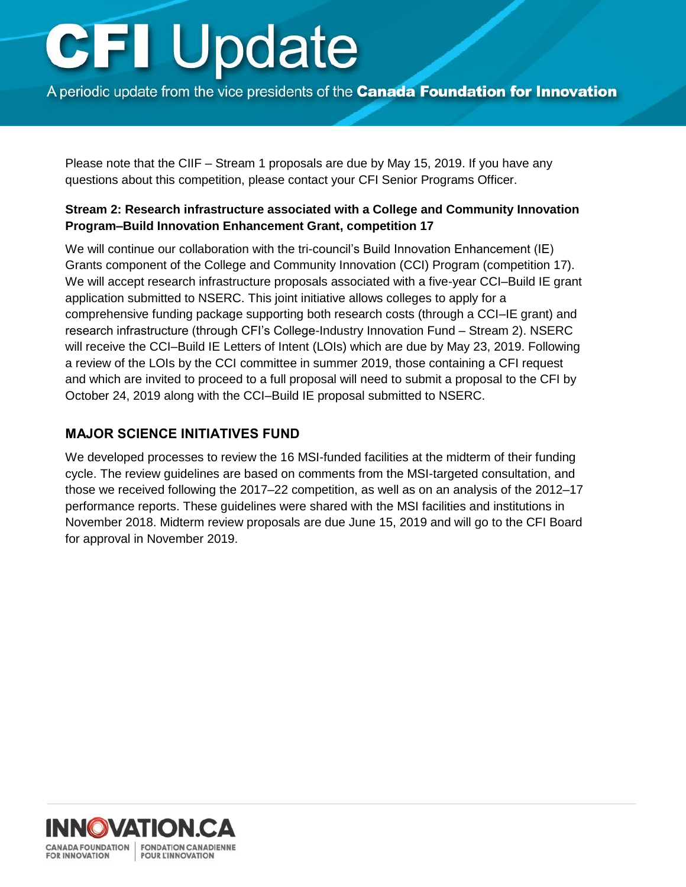<span id="page-4-0"></span>A periodic update from the vice presidents of the Canada Foundation for Innovation

Please note that the CIIF – Stream 1 proposals are due by May 15, 2019. If you have any questions about this competition, please contact your CFI Senior Programs Officer.

#### **Stream 2: Research infrastructure associated with a College and Community Innovation Program–Build Innovation Enhancement Grant, competition 17**

We will continue our collaboration with the tri-council's Build Innovation Enhancement (IE) Grants component of the College and Community Innovation (CCI) Program (competition 17). We will accept research infrastructure proposals associated with a five-year CCI–Build IE grant application submitted to NSERC. This joint initiative allows colleges to apply for a comprehensive funding package supporting both research costs (through a CCI–IE grant) and research infrastructure (through CFI's College-Industry Innovation Fund – Stream 2). NSERC will receive the CCI–Build IE Letters of Intent (LOIs) which are due by May 23, 2019. Following a review of the LOIs by the CCI committee in summer 2019, those containing a CFI request and which are invited to proceed to a full proposal will need to submit a proposal to the CFI by October 24, 2019 along with the CCI–Build IE proposal submitted to NSERC.

### **MAJOR SCIENCE INITIATIVES FUND**

We developed processes to review the 16 MSI-funded facilities at the midterm of their funding cycle. The review guidelines are based on comments from the MSI-targeted consultation, and those we received following the 2017–22 competition, as well as on an analysis of the 2012–17 performance reports. These guidelines were shared with the MSI facilities and institutions in November 2018. Midterm review proposals are due June 15, 2019 and will go to the CFI Board for approval in November 2019.